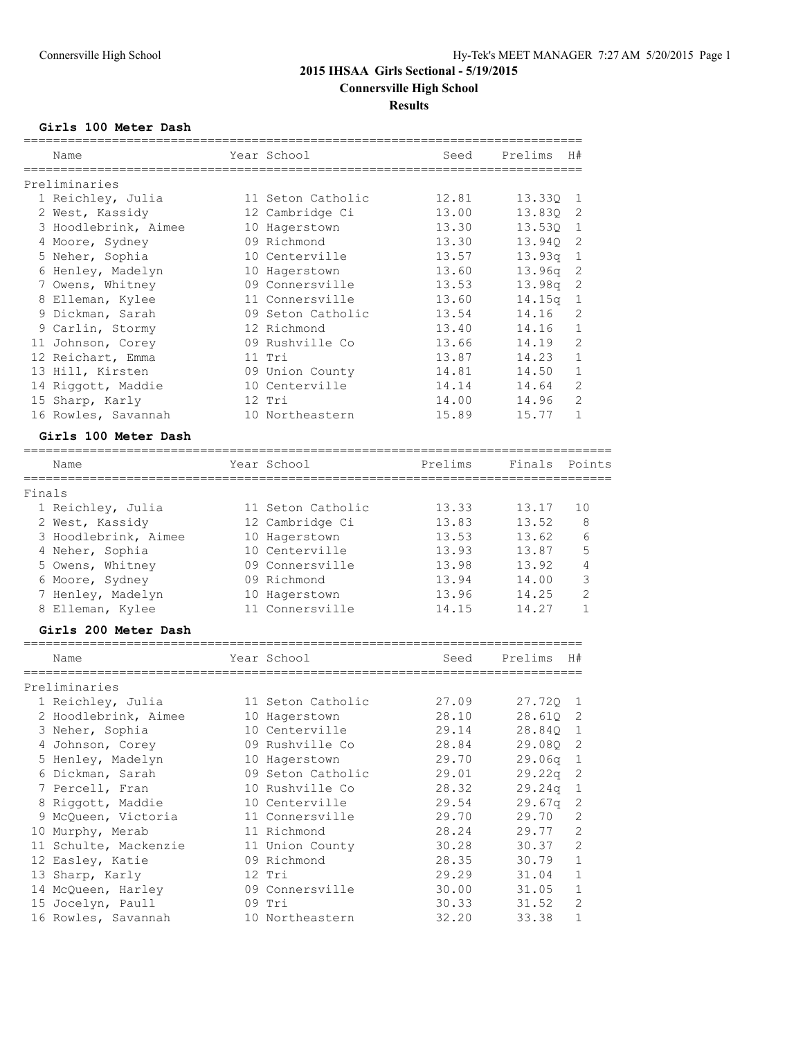## **Girls 100 Meter Dash**

|        | Name                 | Year School       | Seed                           | Prelims | H#             |
|--------|----------------------|-------------------|--------------------------------|---------|----------------|
|        | Preliminaries        |                   |                                |         |                |
|        | 1 Reichley, Julia    | 11 Seton Catholic | 12.81                          | 13.330  | 1              |
|        | 2 West, Kassidy      | 12 Cambridge Ci   | 13.00                          | 13.830  | 2              |
|        | 3 Hoodlebrink, Aimee | 10 Hagerstown     | 13.30                          | 13.530  | $\mathbf{1}$   |
|        | 4 Moore, Sydney      | 09 Richmond       | 13.30                          | 13.940  | $\overline{c}$ |
|        | 5 Neher, Sophia      | 10 Centerville    | 13.57                          | 13.93q  | $\,1\,$        |
|        | 6 Henley, Madelyn    | 10 Hagerstown     | 13.60                          | 13.96q  | $\mathbf{2}$   |
|        | 7 Owens, Whitney     | 09 Connersville   | 13.53                          | 13.98q  | $\mathbf{2}$   |
|        | 8 Elleman, Kylee     | 11 Connersville   | 13.60                          | 14.15q  | $\mathbf 1$    |
|        | 9 Dickman, Sarah     | 09 Seton Catholic | 13.54                          | 14.16   | 2              |
|        | 9 Carlin, Stormy     | 12 Richmond       | 13.40                          | 14.16   | $\mathbf{1}$   |
|        | 11 Johnson, Corey    | 09 Rushville Co   | 13.66                          | 14.19   | $\overline{2}$ |
|        | 12 Reichart, Emma    | 11 Tri            | 13.87                          | 14.23   | $\mathbf{1}$   |
|        | 13 Hill, Kirsten     | 09 Union County   | 14.81                          | 14.50   | $\mathbf{1}$   |
|        | 14 Riggott, Maddie   | 10 Centerville    | 14.14                          | 14.64   | $\overline{2}$ |
|        | 15 Sharp, Karly      | $12$ Tri          | 14.00                          | 14.96   | $\overline{c}$ |
|        | 16 Rowles, Savannah  | 10 Northeastern   | 15.89                          | 15.77   | $\mathbf{1}$   |
|        | Girls 100 Meter Dash |                   |                                |         |                |
|        | Name                 | Year School       | Prelims                        | Finals  | Points         |
| Finals |                      |                   |                                |         |                |
|        | 1 Reichley, Julia    | 11 Seton Catholic | 13.33                          | 13.17   | 10             |
|        | 2 West, Kassidy      | 12 Cambridge Ci   | 13.83                          | 13.52   | 8              |
|        | 3 Hoodlebrink, Aimee | 10 Hagerstown     | 13.53                          | 13.62   | 6              |
|        | 4 Neher, Sophia      | 10 Centerville    | 13.93                          | 13.87   | 5              |
|        | 5 Owens, Whitney     | 09 Connersville   | 13.98                          | 13.92   | 4              |
|        | 6 Moore, Sydney      | 09 Richmond       | 13.94                          | 14.00   | 3              |
|        | 7 Henley, Madelyn    | 10 Hagerstown     | 13.96                          | 14.25   | $\overline{2}$ |
|        | 8 Elleman, Kylee     | 11 Connersville   | 14.15                          | 14.27   | $\mathbf{1}$   |
|        | Girls 200 Meter Dash |                   |                                |         |                |
|        | Name                 | Year School       | ----------------------<br>Seed | Prelims | H#             |

| Preliminaries         |                   |       |                    |                |
|-----------------------|-------------------|-------|--------------------|----------------|
| 1 Reichley, Julia     | 11 Seton Catholic | 27.09 | 27.720 1           |                |
| 2 Hoodlebrink, Aimee  | 10 Hagerstown     | 28.10 | 28.610 2           |                |
| 3 Neher, Sophia       | 10 Centerville    | 29.14 | 28.840 1           |                |
| 4 Johnson, Corey      | 09 Rushville Co   | 28.84 | 29.080 2           |                |
| 5 Henley, Madelyn     | 10 Hagerstown     | 29.70 | 29.06q             | $\overline{1}$ |
| 6 Dickman, Sarah      | 09 Seton Catholic | 29.01 | 29.22q             | -2             |
| 7 Percell, Fran       | 10 Rushville Co   | 28.32 | 29.24q             | $\overline{1}$ |
| 8 Riggott, Maddie     | 10 Centerville    | 29.54 | 29.67 <sub>q</sub> | 2              |
| 9 McQueen, Victoria   | 11 Connersville   | 29.70 | 29.70              | 2              |
| 10 Murphy, Merab      | 11 Richmond       | 28.24 | 29.77              | 2              |
| 11 Schulte, Mackenzie | 11 Union County   | 30.28 | 30.37              | 2              |
| 12 Easley, Katie      | 09 Richmond       | 28.35 | 30.79              | 1              |
| 13 Sharp, Karly       | 12 Tri            | 29.29 | 31.04              | $\mathbf{1}$   |
| 14 McQueen, Harley    | 09 Connersville   | 30.00 | 31.05              | $\mathbf{1}$   |
| 15 Jocelyn, Paull     | 09 Tri            | 30.33 | 31.52              | 2              |
| 16 Rowles, Savannah   | 10 Northeastern   | 32.20 | 33.38              | $\mathbf{1}$   |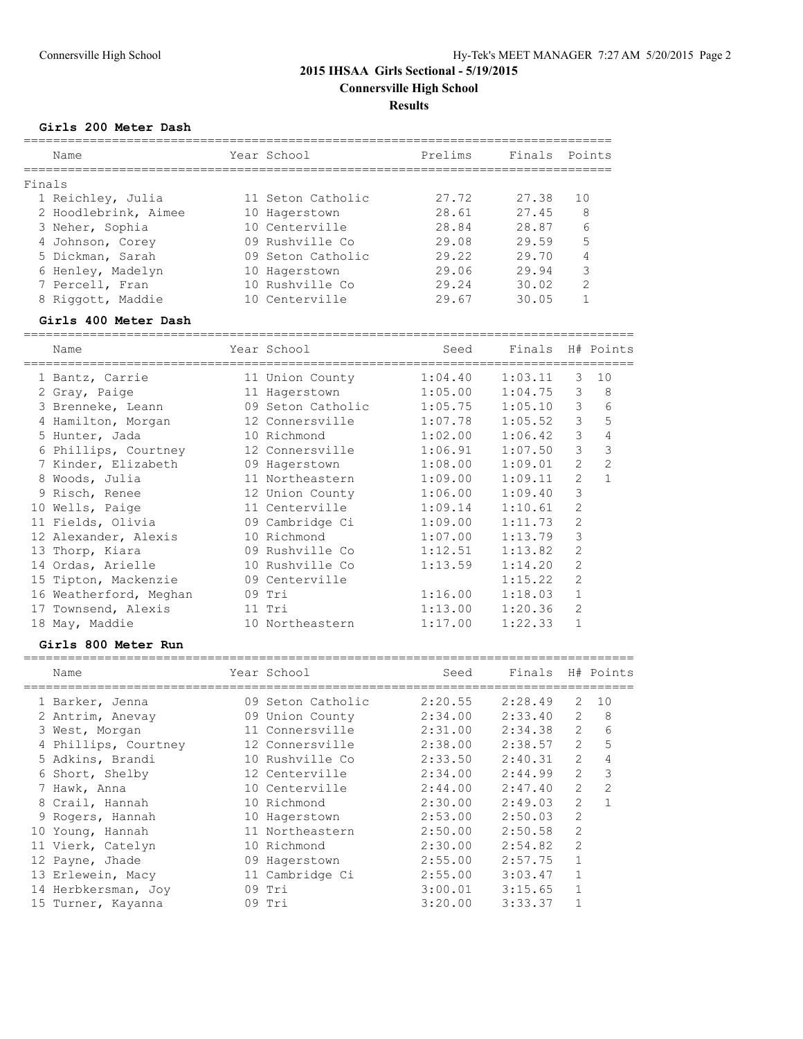## **Girls 200 Meter Dash**

|        | Name                 | Year School       | Prelims | Finals | Points        |
|--------|----------------------|-------------------|---------|--------|---------------|
| Finals |                      |                   |         |        |               |
|        | 1 Reichley, Julia    | 11 Seton Catholic | 27.72   | 27.38  | 10            |
|        | 2 Hoodlebrink, Aimee | 10 Hagerstown     | 28.61   | 27.45  | 8             |
|        | 3 Neher, Sophia      | 10 Centerville    | 28.84   | 28.87  | 6             |
|        | 4 Johnson, Corey     | 09 Rushville Co   | 29.08   | 29.59  | 5             |
|        | 5 Dickman, Sarah     | 09 Seton Catholic | 29.22   | 29.70  | 4             |
|        | 6 Henley, Madelyn    | 10 Hagerstown     | 29.06   | 29.94  | 3             |
|        | 7 Percell, Fran      | 10 Rushville Co   | 29.24   | 30.02  | $\mathcal{D}$ |
|        | 8 Riggott, Maddie    | 10 Centerville    | 29.67   | 30.05  |               |

## **Girls 400 Meter Dash**

| Name                   | Year School                       | Seed    | Finals H# Points |                |                |
|------------------------|-----------------------------------|---------|------------------|----------------|----------------|
| 1 Bantz, Carrie        | 11 Union County                   | 1:04.40 | 1:03.11          | 3              | 10             |
| 2 Gray, Paige          | 11 Hagerstown                     | 1:05.00 | 1:04.75          | 3              | 8              |
| 3 Brenneke, Leann      | 09 Seton Catholic 1:05.75 1:05.10 |         |                  | 3              | 6              |
| 4 Hamilton, Morgan     | 12 Connersville 1:07.78           |         | 1:05.52          | 3              | 5              |
| 5 Hunter, Jada         | 10 Richmond                       | 1:02.00 | 1:06.42          | 3              | 4              |
| 6 Phillips, Courtney   | 12 Connersville                   | 1:06.91 | 1:07.50          | 3              | 3              |
| 7 Kinder, Elizabeth    | 09 Hagerstown                     | 1:08.00 | 1:09.01          | $\overline{2}$ | $\overline{2}$ |
| 8 Woods, Julia         | 11 Northeastern 1:09.00           |         | 1:09.11          | $\overline{2}$ | $\mathbf{1}$   |
| 9 Risch, Renee         | 12 Union County 1:06.00           |         | 1:09.40          | 3              |                |
| 10 Wells, Paige        | 11 Centerville                    | 1:09.14 | 1:10.61          | $\overline{2}$ |                |
| 11 Fields, Olivia      | 09 Cambridge Ci                   | 1:09.00 | 1:11.73          | $\overline{2}$ |                |
| 12 Alexander, Alexis   | 10 Richmond                       | 1:07.00 | 1:13.79          | 3              |                |
| 13 Thorp, Kiara        | 09 Rushville Co                   | 1:12.51 | 1:13.82          | 2              |                |
| 14 Ordas, Arielle      | 10 Rushville Co                   | 1:13.59 | 1:14.20          | $\overline{2}$ |                |
| 15 Tipton, Mackenzie   | 09 Centerville                    |         | 1:15.22          | $\overline{2}$ |                |
| 16 Weatherford, Meghan | 09 Tri                            | 1:16.00 | 1:18.03          | $\mathbf{1}$   |                |
| 17 Townsend, Alexis    | 11 Tri                            | 1:13.00 | 1:20.36          | 2              |                |
| 18 May, Maddie         | 10 Northeastern                   | 1:17.00 | 1:22.33          |                |                |
|                        |                                   |         |                  |                |                |

#### **Girls 800 Meter Run**

| Name                 |    | Year School       | Seed    | Finals  |                | H# Points      |
|----------------------|----|-------------------|---------|---------|----------------|----------------|
| 1 Barker, Jenna      |    | 09 Seton Catholic | 2:20.55 | 2:28.49 | 2              | 10             |
| 2 Antrim, Anevay     |    | 09 Union County   | 2:34.00 | 2:33.40 | $\overline{2}$ | 8              |
| 3 West, Morgan       |    | 11 Connersville   | 2:31.00 | 2:34.38 | $\overline{2}$ | 6              |
| 4 Phillips, Courtney |    | 12 Connersville   | 2:38.00 | 2:38.57 | $\overline{2}$ | 5              |
| 5 Adkins, Brandi     |    | 10 Rushville Co   | 2:33.50 | 2:40.31 | $\overline{2}$ | $\overline{4}$ |
| 6 Short, Shelby      |    | 12 Centerville    | 2:34.00 | 2:44.99 | $\overline{2}$ | 3              |
| 7 Hawk, Anna         |    | 10 Centerville    | 2:44.00 | 2:47.40 | $\overline{2}$ | $\overline{2}$ |
| 8 Crail, Hannah      |    | 10 Richmond       | 2:30.00 | 2:49.03 | $\overline{2}$ | 1              |
| 9 Rogers, Hannah     |    | 10 Hagerstown     | 2:53.00 | 2:50.03 | 2              |                |
| 10 Young, Hannah     |    | 11 Northeastern   | 2:50.00 | 2:50.58 | $\mathfrak{D}$ |                |
| 11 Vierk, Catelyn    |    | 10 Richmond       | 2:30.00 | 2:54.82 | $\overline{2}$ |                |
| 12 Payne, Jhade      | 09 | Hagerstown        | 2:55.00 | 2:57.75 | $\mathbf{1}$   |                |
| 13 Erlewein, Macy    |    | 11 Cambridge Ci   | 2:55.00 | 3:03.47 |                |                |
| 14 Herbkersman, Joy  |    | $09$ Tri          | 3:00.01 | 3:15.65 | $\mathbf{1}$   |                |
| 15 Turner, Kayanna   |    | 09 Tri            | 3:20.00 | 3:33.37 |                |                |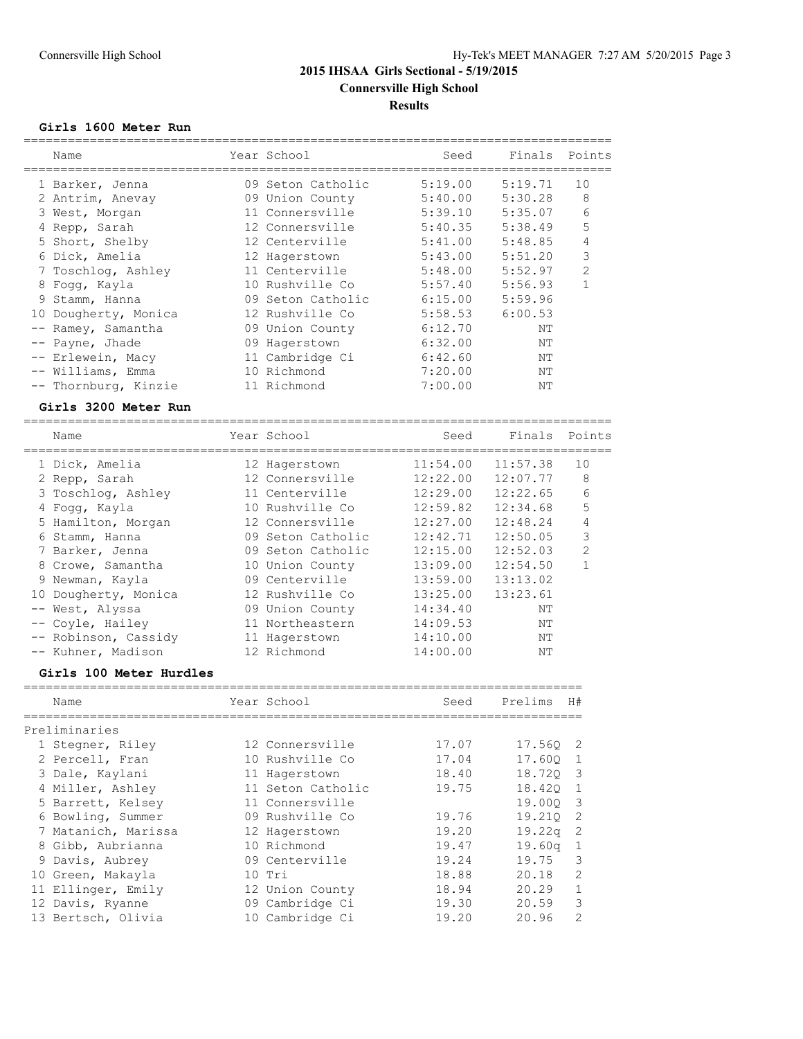### **Girls 1600 Meter Run**

| Name                    | Year School       | Seed     | Finals   | Points         |
|-------------------------|-------------------|----------|----------|----------------|
| 1 Barker, Jenna         | 09 Seton Catholic | 5:19.00  | 5:19.71  | 10             |
| 2 Antrim, Anevay        | 09 Union County   | 5:40.00  | 5:30.28  | 8              |
| 3 West, Morgan          | 11 Connersville   | 5:39.10  | 5:35.07  | 6              |
| 4 Repp, Sarah           | 12 Connersville   | 5:40.35  | 5:38.49  | 5              |
| 5 Short, Shelby         | 12 Centerville    | 5:41.00  | 5:48.85  | $\overline{4}$ |
| 6 Dick, Amelia          | 12 Hagerstown     | 5:43.00  | 5:51.20  | 3              |
| 7 Toschlog, Ashley      | 11 Centerville    | 5:48.00  | 5:52.97  | $\overline{2}$ |
| 8 Fogg, Kayla           | 10 Rushville Co   | 5:57.40  | 5:56.93  | $\mathbf{1}$   |
| 9 Stamm, Hanna          | 09 Seton Catholic | 6:15.00  | 5:59.96  |                |
| 10 Dougherty, Monica    | 12 Rushville Co   | 5:58.53  | 6:00.53  |                |
| Ramey, Samantha         | 09 Union County   | 6:12.70  | NΤ       |                |
| Payne, Jhade            | 09 Hagerstown     | 6:32.00  | NΤ       |                |
| -- Erlewein, Macy       | 11 Cambridge Ci   | 6:42.60  | NΤ       |                |
| -- Williams, Emma       | 10 Richmond       | 7:20.00  | NΤ       |                |
| -- Thornburg, Kinzie    | 11 Richmond       | 7:00.00  | NΤ       |                |
| Girls 3200 Meter Run    |                   |          |          |                |
|                         |                   |          |          |                |
| Name<br>------------    | Year School       | Seed     | Finals   | Points         |
| 1 Dick, Amelia          | 12 Hagerstown     | 11:54.00 | 11:57.38 | 10             |
| 2 Repp, Sarah           | 12 Connersville   | 12:22.00 | 12:07.77 | 8              |
| 3 Toschlog, Ashley      | 11 Centerville    | 12:29.00 | 12:22.65 | 6              |
| 4 Fogg, Kayla           | 10 Rushville Co   | 12:59.82 | 12:34.68 | 5              |
| 5 Hamilton, Morgan      | 12 Connersville   | 12:27.00 | 12:48.24 | 4              |
| 6 Stamm, Hanna          | 09 Seton Catholic | 12:42.71 | 12:50.05 | 3              |
| 7 Barker, Jenna         | 09 Seton Catholic | 12:15.00 | 12:52.03 | $\overline{c}$ |
| 8 Crowe, Samantha       | 10 Union County   | 13:09.00 | 12:54.50 | $\mathbf{1}$   |
| 9 Newman, Kayla         | 09 Centerville    | 13:59.00 | 13:13.02 |                |
| 10 Dougherty, Monica    | 12 Rushville Co   | 13:25.00 | 13:23.61 |                |
| -- West, Alyssa         | 09 Union County   | 14:34.40 | NΤ       |                |
| -- Coyle, Hailey        | 11 Northeastern   | 14:09.53 | ΝT       |                |
| -- Robinson, Cassidy    | 11 Hagerstown     | 14:10.00 | NΤ       |                |
| -- Kuhner, Madison      | 12 Richmond       | 14:00.00 | NΤ       |                |
| Girls 100 Meter Hurdles |                   |          |          |                |
| Name                    | Year School       | Seed     | Prelims  | H#             |
|                         |                   |          |          |                |
| Preliminaries           |                   |          |          |                |
| 1 Stegner, Riley        | 12 Connersville   | 17.07    | 17.56Q   | 2              |
| 2 Percell, Fran         | 10 Rushville Co   | 17.04    | 17.60Q   | 1              |
| 3 Dale, Kaylani         | 11 Hagerstown     | 18.40    | 18.72Q   | 3              |
| 4 Miller, Ashley        | 11 Seton Catholic | 19.75    | 18.420   | $\mathbf 1$    |
| 5 Barrett, Kelsey       | 11 Connersville   |          | 19.00Q   | $\mathsf 3$    |
| 6 Bowling, Summer       | 09 Rushville Co   | 19.76    | 19.21Q   | $\overline{c}$ |
| 7 Matanich, Marissa     | 12 Hagerstown     | 19.20    | 19.22q   | $\mathbf{2}$   |
| 8 Gibb, Aubrianna       | 10 Richmond       | 19.47    | 19.60q   | 1              |
| 9 Davis, Aubrey         | 09 Centerville    | 19.24    | 19.75    | 3              |
| 10 Green, Makayla       | 10 Tri            | 18.88    | 20.18    | $\mathbf{2}$   |
| 11 Ellinger, Emily      | 12 Union County   | 18.94    | 20.29    | $\mathbf{1}$   |
| 12 Davis, Ryanne        | 09 Cambridge Ci   | 19.30    | 20.59    | 3              |
| 13 Bertsch, Olivia      | 10 Cambridge Ci   | 19.20    | 20.96    | 2              |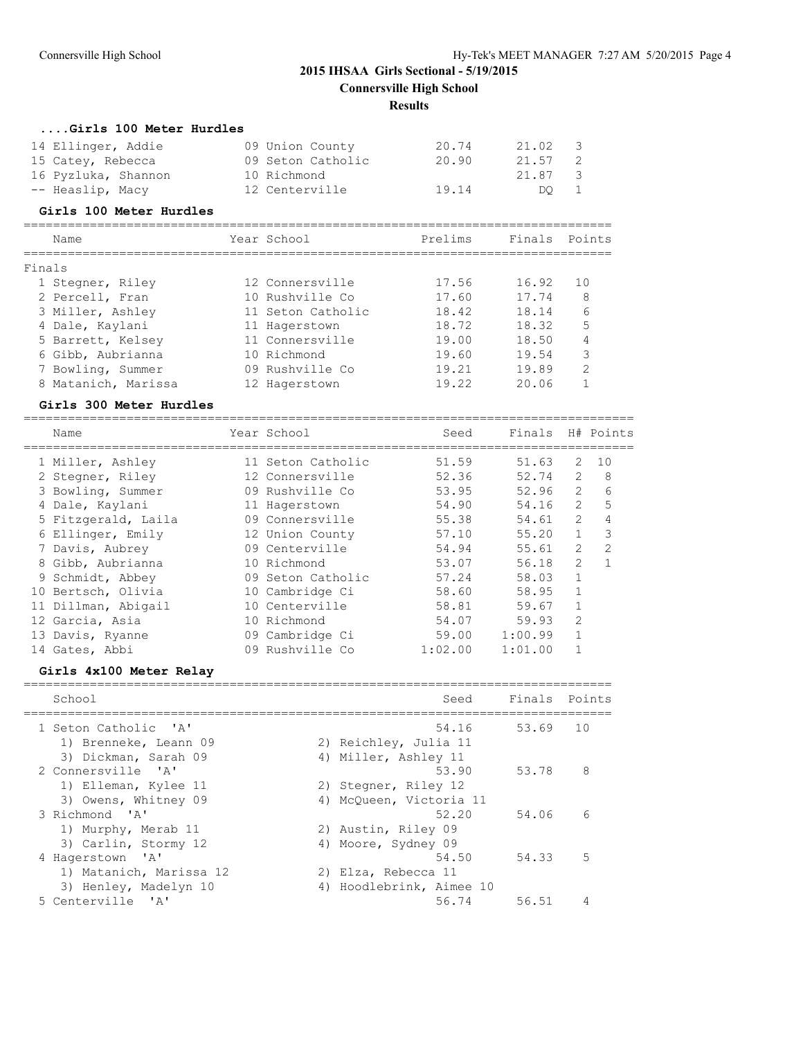#### **....Girls 100 Meter Hurdles**

| 14 Ellinger, Addie  | 09 Union County   | 20.74 | 21.02   | - 3 |
|---------------------|-------------------|-------|---------|-----|
| 15 Catey, Rebecca   | 09 Seton Catholic | 20.90 | 21.57 2 |     |
| 16 Pyzluka, Shannon | 10 Richmond       |       | 21.87 3 |     |
| -- Heaslip, Macy    | 12 Centerville    | 19.14 | DO 1    |     |

#### **Girls 100 Meter Hurdles**

|        | Name                | Year School       | Prelims | Finals | Points        |
|--------|---------------------|-------------------|---------|--------|---------------|
| Finals |                     |                   |         |        |               |
|        | 1 Stegner, Riley    | 12 Connersville   | 17.56   | 16.92  | 1 O           |
|        | 2 Percell, Fran     | 10 Rushville Co   | 17.60   | 17.74  | 8             |
|        | 3 Miller, Ashley    | 11 Seton Catholic | 18.42   | 18.14  | 6             |
|        | 4 Dale, Kaylani     | 11 Hagerstown     | 18.72   | 18.32  | 5             |
|        | 5 Barrett, Kelsey   | 11 Connersville   | 19.00   | 18.50  | 4             |
|        | 6 Gibb, Aubrianna   | 10 Richmond       | 19.60   | 19.54  | 3             |
|        | 7 Bowling, Summer   | 09 Rushville Co   | 19.21   | 19.89  | $\mathcal{D}$ |
|        | 8 Matanich, Marissa | 12 Hagerstown     | 19.22   | 20.06  |               |

#### **Girls 300 Meter Hurdles**

| Name                | Year School       | Seed    | Finals  |                | H# Points      |
|---------------------|-------------------|---------|---------|----------------|----------------|
| 1 Miller, Ashley    | 11 Seton Catholic | 51.59   | 51.63   | $\mathcal{L}$  | 10             |
| 2 Stegner, Riley    | 12 Connersville   | 52.36   | 52.74   | $\overline{2}$ | 8              |
| 3 Bowling, Summer   | 09 Rushville Co   | 53.95   | 52.96   | $\overline{2}$ | 6              |
| 4 Dale, Kaylani     | 11 Hagerstown     | 54.90   | 54.16   | $\overline{2}$ | 5              |
| 5 Fitzgerald, Laila | 09 Connersville   | 55.38   | 54.61   | $\mathcal{L}$  | $\overline{4}$ |
| 6 Ellinger, Emily   | 12 Union County   | 57.10   | 55.20   | $\mathbf{1}$   | 3              |
| 7 Davis, Aubrey     | 09 Centerville    | 54.94   | 55.61   | $\overline{2}$ | $\mathfrak{D}$ |
| 8 Gibb, Aubrianna   | 10 Richmond       | 53.07   | 56.18   | $\mathcal{L}$  | $\mathbf{1}$   |
| 9 Schmidt, Abbey    | 09 Seton Catholic | 57.24   | 58.03   | 1              |                |
| 10 Bertsch, Olivia  | 10 Cambridge Ci   | 58.60   | 58.95   | $\mathbf{1}$   |                |
| 11 Dillman, Abigail | 10 Centerville    | 58.81   | 59.67   |                |                |
| 12 Garcia, Asia     | 10 Richmond       | 54.07   | 59.93   | $\overline{2}$ |                |
| 13 Davis, Ryanne    | 09 Cambridge Ci   | 59.00   | 1:00.99 | $\mathbf{1}$   |                |
| 14 Gates, Abbi      | 09 Rushville Co   | 1:02.00 | 1:01.00 |                |                |

# **Girls 4x100 Meter Relay**

| School                  | Seed                     | Finals Points |    |
|-------------------------|--------------------------|---------------|----|
| 1 Seton Catholic 'A'    | 54.16                    | 53.69         | 10 |
| 1) Brenneke, Leann 09   | 2) Reichley, Julia 11    |               |    |
| 3) Dickman, Sarah 09    | 4) Miller, Ashley 11     |               |    |
| 2 Connersville 'A'      | 53.90                    | 53.78         | 8  |
| 1) Elleman, Kylee 11    | 2) Stegner, Riley 12     |               |    |
| 3) Owens, Whitney 09    | 4) McOueen, Victoria 11  |               |    |
| 3 Richmond 'A'          | 52.20                    | 54.06         | 6  |
| 1) Murphy, Merab 11     | 2) Austin, Riley 09      |               |    |
| 3) Carlin, Stormy 12    | 4) Moore, Sydney 09      |               |    |
| 4 Hagerstown 'A'        | 54.50                    | 54.33         | 5  |
| 1) Matanich, Marissa 12 | 2) Elza, Rebecca 11      |               |    |
| 3) Henley, Madelyn 10   | 4) Hoodlebrink, Aimee 10 |               |    |
| 5 Centerville 'A'       | 56.74                    | 56.51         | 4  |
|                         |                          |               |    |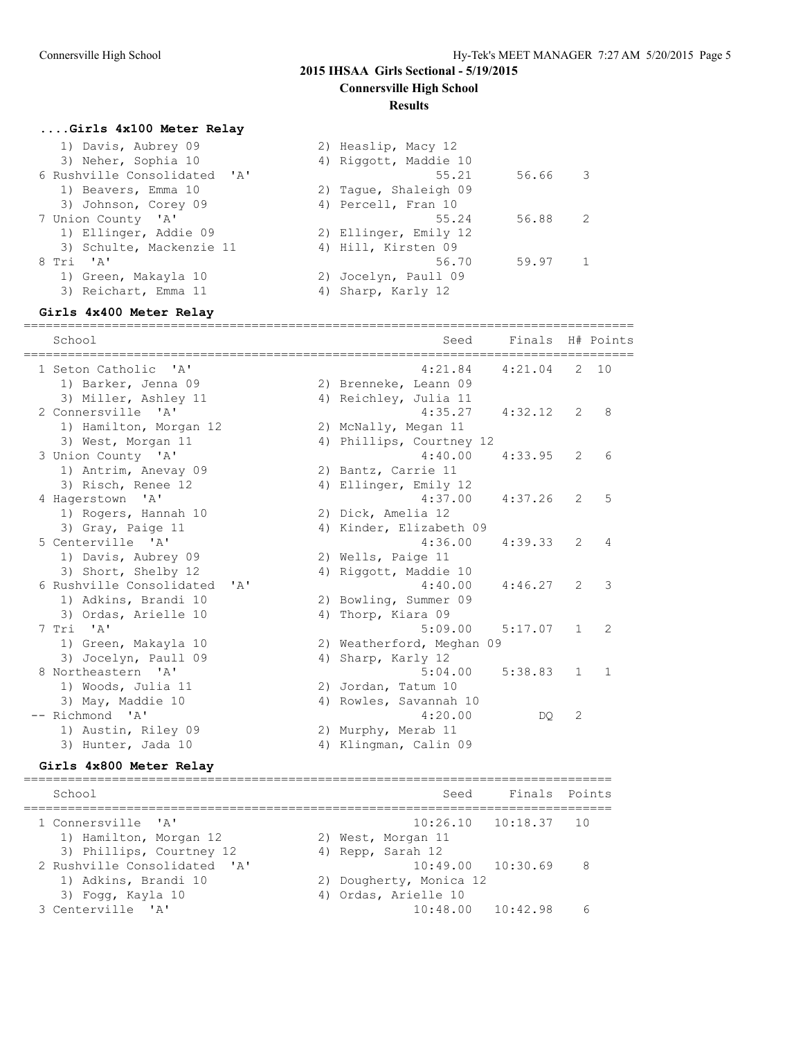# **2015 IHSAA Girls Sectional - 5/19/2015**

# **Connersville High School**

### **Results**

#### **....Girls 4x100 Meter Relay**

| 2) Heaslip, Macy 12   |       |                          |
|-----------------------|-------|--------------------------|
| 4) Riggott, Maddie 10 |       |                          |
| 55.21                 | 56.66 | $\overline{\phantom{a}}$ |
| 2) Tague, Shaleigh 09 |       |                          |
| 4) Percell, Fran 10   |       |                          |
| 55.24                 | 56.88 | $\overline{2}$           |
| 2) Ellinger, Emily 12 |       |                          |
| 4) Hill, Kirsten 09   |       |                          |
| 56.70                 |       |                          |
| 2) Jocelyn, Paull 09  |       |                          |
| 4) Sharp, Karly 12    |       |                          |
|                       |       | 59.97 1                  |

#### **Girls 4x400 Meter Relay**

=================================================================================== School School Seed Finals H# Points =================================================================================== 1 Seton Catholic 'A' 4:21.84 4:21.04 2 10 1) Barker, Jenna 09 2) Brenneke, Leann 09 3) Miller, Ashley 11 4) Reichley, Julia 11 2 Connersville 'A' 4:35.27 4:32.12 2 8 1) Hamilton, Morgan 12 2) McNally, Megan 11 3) West, Morgan 11 4) Phillips, Courtney 12 3 Union County 'A' 4:40.00 4:33.95 2 6 1) Antrim, Anevay 09 2) Bantz, Carrie 11 3) Risch, Renee 12 4) Ellinger, Emily 12 4 Hagerstown 'A' 4:37.00 4:37.26 2 5 1) Rogers, Hannah 10 2) Dick, Amelia 12 3) Gray, Paige 11 4) Kinder, Elizabeth 09 5 Centerville 'A' 4:36.00 4:39.33 2 4 1) Davis, Aubrey 09 2) Wells, Paige 11 3) Short, Shelby 12 4) Riggott, Maddie 10 6 Rushville Consolidated 'A' 4:40.00 4:46.27 2 3 1) Adkins, Brandi 10 2) Bowling, Summer 09 3) Ordas, Arielle 10 4) Thorp, Kiara 09 7 Tri 'A' 5:09.00 5:17.07 1 2 1) Green, Makayla 10 2) Weatherford, Meghan 09<br>
2) Weatherford, Meghan 09<br>
2) Sharp, Karly 12 3) Jocelyn, Paull 09 4) Sharp, Karly 12 8 Northeastern 'A' 5:04.00 5:38.83 1 1 1) Woods, Julia 11 2) Jordan, Tatum 10 3) May, Maddie 10 4) Rowles, Savannah 10 -- Richmond 'A' 4:20.00 DQ 2 1) Austin, Riley 09 2) Murphy, Merab 11 3) Hunter, Jada 10 4) Klingman, Calin 09

### **Girls 4x800 Meter Relay**

================================================================================ School School School Seed Finals Points Seed Finals Points Seed Finals Points Seed Finals Points Seed Finals Points ================================================================================ 1 Connersville 'A' 10:26.10 10:18.37 10 1) Hamilton, Morgan 12 2) West, Morgan 11 3) Phillips, Courtney 12 (4) Repp, Sarah 12 2 Rushville Consolidated 'A' 10:49.00 10:30.69 8 1) Adkins, Brandi 10 2) Dougherty, Monica 12 3) Fogg, Kayla 10 4) Ordas, Arielle 10 3 Centerville 'A' 10:48.00 10:42.98 6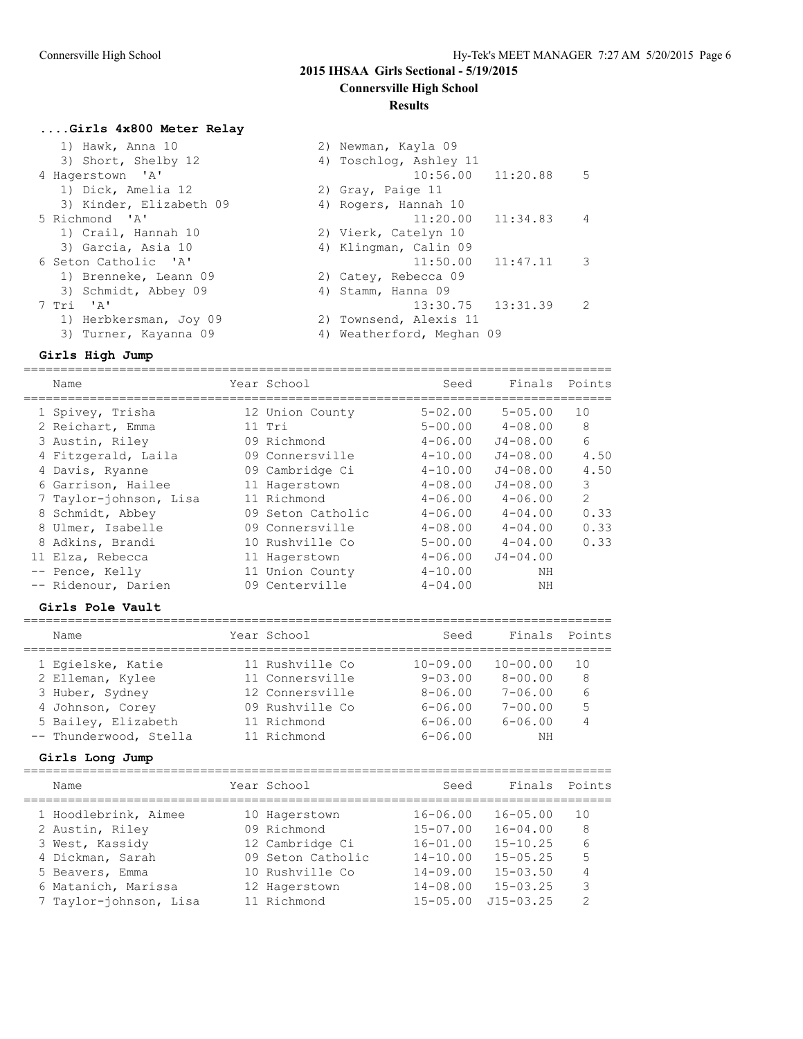# **2015 IHSAA Girls Sectional - 5/19/2015**

**Connersville High School**

#### **Results**

### **....Girls 4x800 Meter Relay**

| 1) Hawk, Anna 10        | 2) Newman, Kayla 09                               |
|-------------------------|---------------------------------------------------|
| 3) Short, Shelby 12     | 4) Toschlog, Ashley 11                            |
| 4 Hagerstown 'A'        | $10:56.00$ $11:20.88$<br>5                        |
| 1) Dick, Amelia 12      | 2) Gray, Paige 11                                 |
| 3) Kinder, Elizabeth 09 | 4) Rogers, Hannah 10                              |
| 5 Richmond 'A'          | $11:20.00$ $11:34.83$<br>$\overline{4}$           |
| 1) Crail, Hannah 10     | 2) Vierk, Catelyn 10                              |
| 3) Garcia, Asia 10      | 4) Klingman, Calin 09                             |
| 6 Seton Catholic 'A'    | $11:50.00$ $11:47.11$<br>$\overline{\phantom{a}}$ |
| 1) Brenneke, Leann 09   | 2) Catey, Rebecca 09                              |
| 3) Schmidt, Abbey 09    | 4) Stamm, Hanna 09                                |
| 7 Tri 'A'               | $13:30.75$ $13:31.39$<br>2                        |
| 1) Herbkersman, Joy 09  | 2) Townsend, Alexis 11                            |
| 3) Turner, Kayanna 09   | 4) Weatherford, Meghan 09                         |

#### **Girls High Jump**

================================================================================ Name Year School Seed Finals Points ================================================================================ 1 Spivey, Trisha 12 Union County 5-02.00 5-05.00 10 2 Reichart, Emma 11 Tri 5-00.00 4-08.00 8 3 Austin, Riley 09 Richmond 4-06.00 J4-08.00 6 4 Fitzgerald, Laila 09 Connersville 4-10.00 J4-08.00 4.50 4 Davis, Ryanne 09 Cambridge Ci 4-10.00 J4-08.00 4.50 6 Garrison, Hailee 11 Hagerstown 4-08.00 J4-08.00 3 7 Taylor-johnson, Lisa 11 Richmond 4-06.00 4-06.00 2 8 Schmidt, Abbey 09 Seton Catholic 4-06.00 4-04.00 0.33 8 Ulmer, Isabelle 09 Connersville 4-08.00 4-04.00 0.33 8 Adkins, Brandi 10 Rushville Co 5-00.00 4-04.00 0.33 11 Elza, Rebecca 11 Hagerstown 4-06.00 J4-04.00 -- Pence, Kelly 11 Union County 4-10.00 NH -- Ridenour, Darien 199 Centerville 1-04.00 NH

#### **Girls Pole Vault**

| Name                   | Year School     | Seed           | Finals       | Points |
|------------------------|-----------------|----------------|--------------|--------|
| 1 Eqielske, Katie      | 11 Rushville Co | $10 - 09.00$   | $10 - 00.00$ | 10     |
| 2 Elleman, Kylee       | 11 Connersville | $9 - 0.3$ , 00 | $8 - 00.00$  | 8      |
| 3 Huber, Sydney        | 12 Connersville | $8 - 06.00$    | $7 - 06.00$  | 6      |
| 4 Johnson, Corey       | 09 Rushville Co | $6 - 06.00$    | $7 - 00.00$  | 5      |
| 5 Bailey, Elizabeth    | 11 Richmond     | $6 - 06.00$    | $6 - 06.00$  | 4      |
| -- Thunderwood, Stella | 11 Richmond     | $6 - 06.00$    | NΗ           |        |

#### **Girls Long Jump**

| Name                   | Year School       | Seed         | Finals        | Points        |
|------------------------|-------------------|--------------|---------------|---------------|
| 1 Hoodlebrink, Aimee   | 10 Hagerstown     | $16 - 06.00$ | $16 - 05.00$  | 1 O           |
| 2 Austin, Riley        | 09 Richmond       | $15 - 07.00$ | $16 - 04.00$  | 8             |
| 3 West, Kassidy        | 12 Cambridge Ci   | $16 - 01.00$ | $15 - 10.25$  | 6             |
| 4 Dickman, Sarah       | 09 Seton Catholic | $14 - 10.00$ | $15 - 05.25$  | 5             |
| 5 Beavers, Emma        | 10 Rushville Co   | $14 - 09.00$ | $15 - 03.50$  | 4             |
| 6 Matanich, Marissa    | 12 Hagerstown     | $14 - 08.00$ | $15 - 03.25$  | 3             |
| 7 Taylor-johnson, Lisa | 11 Richmond       | $15 - 05.00$ | $J15 - 03.25$ | $\mathcal{D}$ |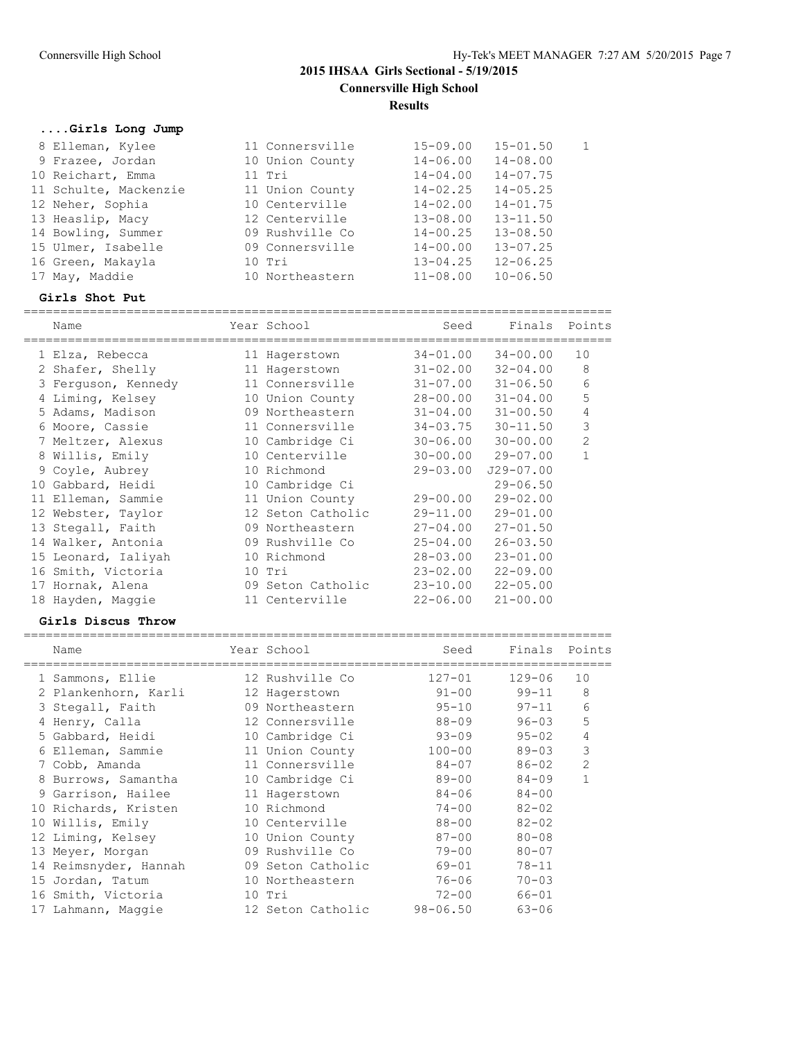# **....Girls Long Jump**

| 8 Elleman, Kylee      | 11 Connersville | $15 - 09.00$ | $15 - 01.50$ | $\overline{1}$ |
|-----------------------|-----------------|--------------|--------------|----------------|
|                       |                 |              |              |                |
| 9 Frazee, Jordan      | 10 Union County | $14 - 06.00$ | $14 - 08.00$ |                |
| 10 Reichart, Emma     | $11$ Tri        | $14 - 04.00$ | $14 - 07.75$ |                |
| 11 Schulte, Mackenzie | 11 Union County | $14 - 02.25$ | $14 - 05.25$ |                |
| 12 Neher, Sophia      | 10 Centerville  | $14 - 02.00$ | $14 - 01.75$ |                |
| 13 Heaslip, Macy      | 12 Centerville  | $13 - 08.00$ | $13 - 11.50$ |                |
| 14 Bowling, Summer    | 09 Rushville Co | $14 - 00.25$ | $13 - 08.50$ |                |
| 15 Ulmer, Isabelle    | 09 Connersville | $14 - 00.00$ | $13 - 07.25$ |                |
| 16 Green, Makayla     | 10 Tri          | $13 - 04.25$ | $12 - 06.25$ |                |
| 17 May, Maddie        | 10 Northeastern | $11 - 08.00$ | $10 - 06.50$ |                |

#### **Girls Shot Put**

| Name                |  | Seed                                                                                                                                                                                                                                                                                                                                             | Finals        | Points                                                                                                                                                                                                                                                       |
|---------------------|--|--------------------------------------------------------------------------------------------------------------------------------------------------------------------------------------------------------------------------------------------------------------------------------------------------------------------------------------------------|---------------|--------------------------------------------------------------------------------------------------------------------------------------------------------------------------------------------------------------------------------------------------------------|
| 1 Elza, Rebecca     |  |                                                                                                                                                                                                                                                                                                                                                  | $34 - 00.00$  | 10                                                                                                                                                                                                                                                           |
| 2 Shafer, Shelly    |  |                                                                                                                                                                                                                                                                                                                                                  | $32 - 04.00$  | 8                                                                                                                                                                                                                                                            |
| 3 Ferguson, Kennedy |  |                                                                                                                                                                                                                                                                                                                                                  | $31 - 06.50$  | 6                                                                                                                                                                                                                                                            |
| 4 Liming, Kelsey    |  |                                                                                                                                                                                                                                                                                                                                                  | $31 - 04.00$  | 5                                                                                                                                                                                                                                                            |
| 5 Adams, Madison    |  |                                                                                                                                                                                                                                                                                                                                                  | $31 - 00.50$  | 4                                                                                                                                                                                                                                                            |
| 6 Moore, Cassie     |  |                                                                                                                                                                                                                                                                                                                                                  | $30 - 11.50$  | 3                                                                                                                                                                                                                                                            |
| 7 Meltzer, Alexus   |  |                                                                                                                                                                                                                                                                                                                                                  | $30 - 00.00$  | 2                                                                                                                                                                                                                                                            |
| 8 Willis, Emily     |  |                                                                                                                                                                                                                                                                                                                                                  | $29 - 07.00$  | 1                                                                                                                                                                                                                                                            |
| 9 Coyle, Aubrey     |  |                                                                                                                                                                                                                                                                                                                                                  | $J29 - 07.00$ |                                                                                                                                                                                                                                                              |
| 10 Gabbard, Heidi   |  |                                                                                                                                                                                                                                                                                                                                                  | $29 - 06.50$  |                                                                                                                                                                                                                                                              |
| 11 Elleman, Sammie  |  |                                                                                                                                                                                                                                                                                                                                                  | $29 - 02.00$  |                                                                                                                                                                                                                                                              |
| 12 Webster, Taylor  |  |                                                                                                                                                                                                                                                                                                                                                  | $29 - 01.00$  |                                                                                                                                                                                                                                                              |
| 13 Stegall, Faith   |  |                                                                                                                                                                                                                                                                                                                                                  | $27 - 01.50$  |                                                                                                                                                                                                                                                              |
| 14 Walker, Antonia  |  |                                                                                                                                                                                                                                                                                                                                                  | $26 - 03.50$  |                                                                                                                                                                                                                                                              |
| 15 Leonard, Ialiyah |  | $28 - 03.00$                                                                                                                                                                                                                                                                                                                                     | $23 - 01.00$  |                                                                                                                                                                                                                                                              |
| 16 Smith, Victoria  |  |                                                                                                                                                                                                                                                                                                                                                  | $22 - 09.00$  |                                                                                                                                                                                                                                                              |
| 17 Hornak, Alena    |  |                                                                                                                                                                                                                                                                                                                                                  | $22 - 05.00$  |                                                                                                                                                                                                                                                              |
| 18 Hayden, Maggie   |  |                                                                                                                                                                                                                                                                                                                                                  | $21 - 00.00$  |                                                                                                                                                                                                                                                              |
|                     |  | Year School<br>11 Hagerstown<br>11 Hagerstown<br>11 Connersville<br>10 Union County<br>09 Northeastern<br>11 Connersville<br>10 Cambridge Ci<br>10 Centerville<br>10 Richmond<br>10 Cambridge Ci<br>11 Union County<br>12 Seton Catholic<br>09 Northeastern<br>09 Rushville Co<br>10 Richmond<br>$10$ Tri<br>09 Seton Catholic<br>11 Centerville |               | $34 - 01.00$<br>$31 - 02.00$<br>$31 - 07.00$<br>$28 - 00.00$<br>$31 - 04.00$<br>$34 - 03.75$<br>$30 - 06.00$<br>$30 - 00.00$<br>$29 - 03.00$<br>$29 - 00.00$<br>$29 - 11.00$<br>$27 - 04.00$<br>$25 - 04.00$<br>$23 - 02.00$<br>$23 - 10.00$<br>$22 - 06.00$ |

## **Girls Discus Throw**

|   | Name                  | Year School       | Seed         | Finals     | Points         |
|---|-----------------------|-------------------|--------------|------------|----------------|
|   | 1 Sammons, Ellie      | 12 Rushville Co   | 127-01       | $129 - 06$ | 10             |
|   | 2 Plankenhorn, Karli  | 12 Hagerstown     | $91 - 00$    | $99 - 11$  | 8              |
|   | 3 Stegall, Faith      | 09 Northeastern   | $95 - 10$    | $97 - 11$  | 6              |
|   | 4 Henry, Calla        | 12 Connersville   | $88 - 09$    | $96 - 03$  | 5              |
|   | 5 Gabbard, Heidi      | 10 Cambridge Ci   | $93 - 09$    | $95 - 02$  | 4              |
|   | 6 Elleman, Sammie     | 11 Union County   | $100 - 00$   | $89 - 03$  | 3              |
|   | 7 Cobb, Amanda        | 11 Connersville   | $84 - 07$    | $86 - 02$  | $\overline{2}$ |
| 8 | Burrows, Samantha     | 10 Cambridge Ci   | $89 - 00$    | $84 - 09$  | $\mathbf{1}$   |
|   | 9 Garrison, Hailee    | 11 Hagerstown     | 84-06        | $84 - 00$  |                |
|   | 10 Richards, Kristen  | 10 Richmond       | $74 - 00$    | $82 - 02$  |                |
|   | 10 Willis, Emily      | 10 Centerville    | $88 - 00$    | $82 - 02$  |                |
|   | 12 Liming, Kelsey     | 10 Union County   | $87 - 00$    | $80 - 08$  |                |
|   | 13 Meyer, Morgan      | 09 Rushville Co   | $79 - 00$    | $80 - 07$  |                |
|   | 14 Reimsnyder, Hannah | 09 Seton Catholic | 69-01        | $78 - 11$  |                |
|   | 15 Jordan, Tatum      | 10 Northeastern   | 76-06        | $70 - 03$  |                |
|   | 16 Smith, Victoria    | 10 Tri            | $72 - 00$    | $66 - 01$  |                |
|   | 17 Lahmann, Maqqie    | 12 Seton Catholic | $98 - 06.50$ | $63 - 06$  |                |
|   |                       |                   |              |            |                |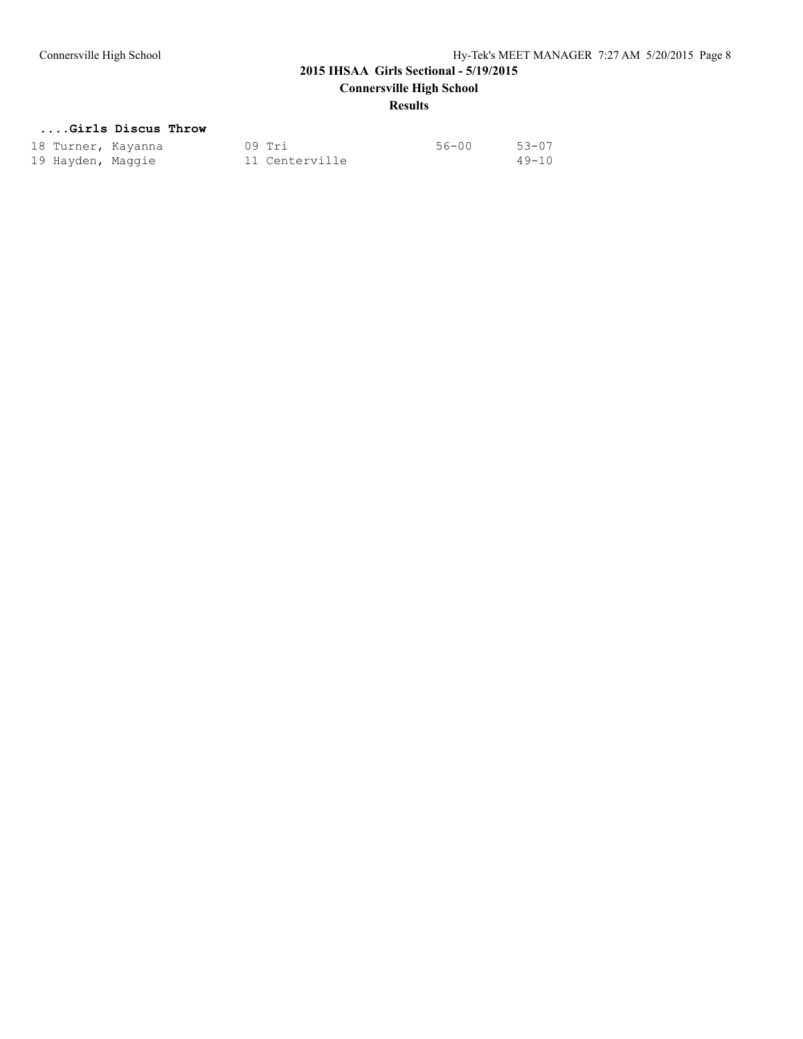# **Results**

# **....Girls Discus Throw**

| 18 Turner, Kayanna |  | 09 Tri         | 56-00 | $53 - 07$ |
|--------------------|--|----------------|-------|-----------|
| 19 Hayden, Maggie  |  | 11 Centerville |       | $49 - 10$ |